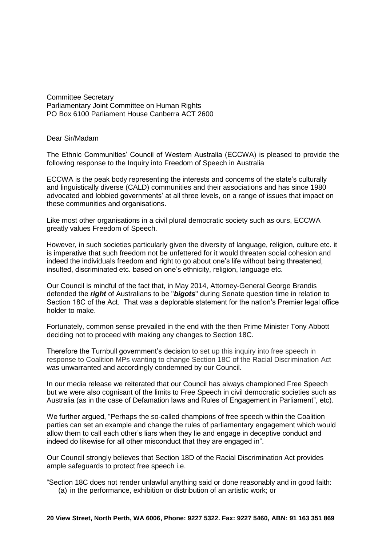Committee Secretary Parliamentary Joint Committee on Human Rights PO Box 6100 Parliament House Canberra ACT 2600

Dear Sir/Madam

The Ethnic Communities' Council of Western Australia (ECCWA) is pleased to provide the following response to the Inquiry into Freedom of Speech in Australia

ECCWA is the peak body representing the interests and concerns of the state's culturally and linguistically diverse (CALD) communities and their associations and has since 1980 advocated and lobbied governments' at all three levels, on a range of issues that impact on these communities and organisations.

Like most other organisations in a civil plural democratic society such as ours, ECCWA greatly values Freedom of Speech.

However, in such societies particularly given the diversity of language, religion, culture etc. it is imperative that such freedom not be unfettered for it would threaten social cohesion and indeed the individuals freedom and right to go about one's life without being threatened. insulted, discriminated etc. based on one's ethnicity, religion, language etc.

Our Council is mindful of the fact that, in May 2014, Attorney-General George Brandis defended the *right* of Australians to be ''*bigots*'' during Senate question time in relation to Section 18C of the Act. That was a deplorable statement for the nation's Premier legal office holder to make.

Fortunately, common sense prevailed in the end with the then Prime Minister Tony Abbott deciding not to proceed with making any changes to Section 18C.

Therefore the Turnbull government's decision to set up this inquiry into free speech in response to Coalition MPs wanting to change Section 18C of the Racial Discrimination Act was unwarranted and accordingly condemned by our Council.

In our media release we reiterated that our Council has always championed Free Speech but we were also cognisant of the limits to Free Speech in civil democratic societies such as Australia (as in the case of Defamation laws and Rules of Engagement in Parliament", etc).

We further argued, "Perhaps the so-called champions of free speech within the Coalition parties can set an example and change the rules of parliamentary engagement which would allow them to call each other's liars when they lie and engage in deceptive conduct and indeed do likewise for all other misconduct that they are engaged in".

Our Council strongly believes that Section 18D of the Racial Discrimination Act provides ample safeguards to protect free speech i.e.

"Section 18C does not render unlawful anything said or done reasonably and in good faith: (a) in the performance, exhibition or distribution of an artistic work; or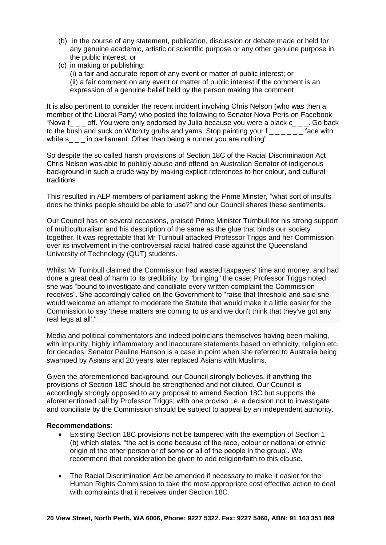- (b) in the course of any statement, publication, discussion or debate made or held for any genuine academic, artistic or scientific purpose or any other genuine purpose in the public interest; or
- (c) in making or publishing: (i) a fair and accurate report of any event or matter of public interest; or (ii) a fair comment on any event or matter of public interest if the comment is an expression of a genuine belief held by the [person](http://www.austlii.edu.au/au/legis/cth/consol_act/rda1975202/s5.html#person) making the comment

It is also pertinent to consider the recent incident involving Chris Nelson (who was then a member of the Liberal Party) who posted the following to Senator Nova Peris on Facebook "Nova f off. You were only endorsed by Julia because you were a black  $c_{\text{max}}$ . Go back to the bush and suck on Witchity grubs and yams. Stop painting your  $f_{\text{max}} = f$  ace with white s in parliament. Other than being a runner you are nothing"

So despite the so called harsh provisions of Section 18C of the Racial Discrimination Act Chris Nelson was able to publicly abuse and offend an Australian Senator of indigenous background in such a crude way by making explicit references to her colour, and cultural traditions

This resulted in ALP members of parliament asking the Prime Minster, "what sort of insults does he thinks people should be able to use?" and our Council shares these sentiments.

Our Council has on several occasions, praised Prime Minister Turnbull for his strong support of multiculturalism and his description of the same as the glue that binds our society together. It was regrettable that Mr Turnbull attacked Professor Triggs and her Commission over its involvement in the controversial racial hatred case against the Queensland University of Technology (QUT) students.

Whilst Mr Turnbull claimed the Commission had wasted taxpayers' time and money, and had done a great deal of harm to its credibility, by "bringing" the case; Professor Triggs noted she was "bound to investigate and conciliate every written complaint the Commission receives". She accordingly called on the Government to "raise that threshold and said she would welcome an attempt to moderate the Statute that would make it a little easier for the Commission to say 'these matters are coming to us and we don't think that they've got any real legs at all'."

Media and political commentators and indeed politicians themselves having been making, with impunity, highly inflammatory and inaccurate statements based on ethnicity, religion etc. for decades. Senator Pauline Hanson is a case in point when she referred to Australia being swamped by Asians and 20 years later replaced Asians with Muslims.

Given the aforementioned background, our Council strongly believes, if anything the provisions of Section 18C should be strengthened and not diluted. Our Council is accordingly strongly opposed to any proposal to amend Section 18C but supports the aforementioned call by Professor Triggs; with one proviso i.e. a decision not to investigate and conciliate by the Commission should be subject to appeal by an independent authority.

## **Recommendations**:

- Existing Section 18C provisions not be tampered with the exemption of Section 1 (b) which states, "the act is done because of the race, colour or national or ethnic origin of the other [person](http://www.austlii.edu.au/au/legis/cth/consol_act/rda1975202/s5.html#person) or of some or all of the people in the group". We recommend that consideration be given to add religion/faith to this clause.
- The Racial Discrimination Act be amended if necessary to make it easier for the Human Rights Commission to take the most appropriate cost effective action to deal with complaints that it receives under Section 18C.